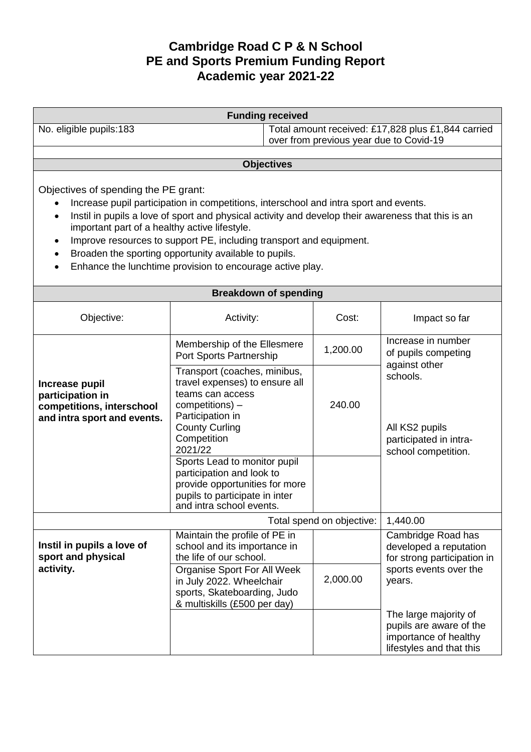## **Cambridge Road C P & N School PE and Sports Premium Funding Report Academic year 2021-22**

| <b>Funding received</b>                                                                                                                                                                                                                                                                                                                                                                                                                                                                             |                                                                                                                                                                              |                                                                                               |          |                                                                                                                 |  |
|-----------------------------------------------------------------------------------------------------------------------------------------------------------------------------------------------------------------------------------------------------------------------------------------------------------------------------------------------------------------------------------------------------------------------------------------------------------------------------------------------------|------------------------------------------------------------------------------------------------------------------------------------------------------------------------------|-----------------------------------------------------------------------------------------------|----------|-----------------------------------------------------------------------------------------------------------------|--|
| No. eligible pupils:183                                                                                                                                                                                                                                                                                                                                                                                                                                                                             |                                                                                                                                                                              | Total amount received: £17,828 plus £1,844 carried<br>over from previous year due to Covid-19 |          |                                                                                                                 |  |
|                                                                                                                                                                                                                                                                                                                                                                                                                                                                                                     |                                                                                                                                                                              |                                                                                               |          |                                                                                                                 |  |
| <b>Objectives</b>                                                                                                                                                                                                                                                                                                                                                                                                                                                                                   |                                                                                                                                                                              |                                                                                               |          |                                                                                                                 |  |
| Objectives of spending the PE grant:<br>Increase pupil participation in competitions, interschool and intra sport and events.<br>Instil in pupils a love of sport and physical activity and develop their awareness that this is an<br>$\bullet$<br>important part of a healthy active lifestyle.<br>Improve resources to support PE, including transport and equipment.<br>٠<br>Broaden the sporting opportunity available to pupils.<br>Enhance the lunchtime provision to encourage active play. |                                                                                                                                                                              |                                                                                               |          |                                                                                                                 |  |
|                                                                                                                                                                                                                                                                                                                                                                                                                                                                                                     | <b>Breakdown of spending</b>                                                                                                                                                 |                                                                                               |          |                                                                                                                 |  |
| Objective:                                                                                                                                                                                                                                                                                                                                                                                                                                                                                          | Activity:                                                                                                                                                                    |                                                                                               | Cost:    | Impact so far                                                                                                   |  |
| Increase pupil<br>participation in<br>competitions, interschool<br>and intra sport and events.                                                                                                                                                                                                                                                                                                                                                                                                      | Membership of the Ellesmere<br>Port Sports Partnership                                                                                                                       |                                                                                               | 1,200.00 | Increase in number<br>of pupils competing                                                                       |  |
|                                                                                                                                                                                                                                                                                                                                                                                                                                                                                                     | Transport (coaches, minibus,<br>travel expenses) to ensure all<br>teams can access<br>competitions) -<br>Participation in<br><b>County Curling</b><br>Competition<br>2021/22 |                                                                                               | 240.00   | against other<br>schools.<br>All KS2 pupils<br>participated in intra-<br>school competition.                    |  |
|                                                                                                                                                                                                                                                                                                                                                                                                                                                                                                     | Sports Lead to monitor pupil<br>participation and look to<br>provide opportunities for more<br>pupils to participate in inter<br>and intra school events.                    |                                                                                               |          |                                                                                                                 |  |
| Total spend on objective:                                                                                                                                                                                                                                                                                                                                                                                                                                                                           |                                                                                                                                                                              |                                                                                               |          | 1,440.00                                                                                                        |  |
| Instil in pupils a love of<br>sport and physical<br>activity.                                                                                                                                                                                                                                                                                                                                                                                                                                       | Maintain the profile of PE in<br>school and its importance in<br>the life of our school.<br>Organise Sport For All Week<br>in July 2022. Wheelchair                          |                                                                                               | 2,000.00 | Cambridge Road has<br>developed a reputation<br>for strong participation in<br>sports events over the<br>years. |  |
|                                                                                                                                                                                                                                                                                                                                                                                                                                                                                                     | sports, Skateboarding, Judo<br>& multiskills (£500 per day)                                                                                                                  |                                                                                               |          | The large majority of<br>pupils are aware of the<br>importance of healthy<br>lifestyles and that this           |  |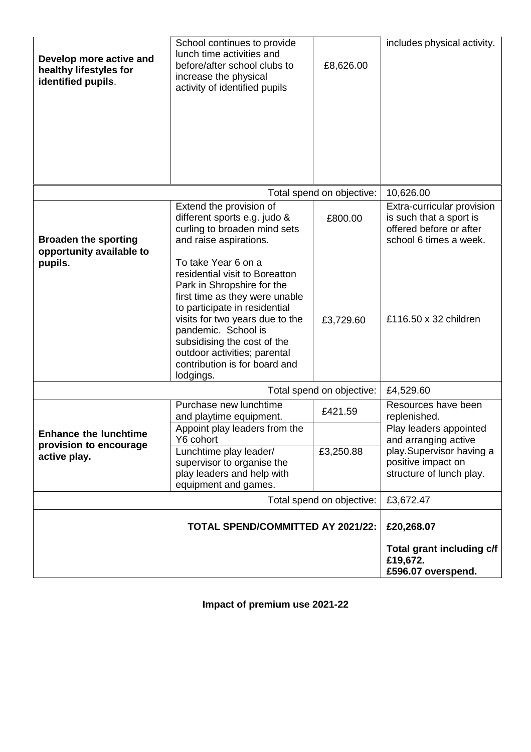| Develop more active and<br>healthy lifestyles for<br>identified pupils. | School continues to provide<br>lunch time activities and<br>before/after school clubs to<br>increase the physical<br>activity of identified pupils                                                                                                                                                                            | £8,626.00                 | includes physical activity.                                                                                                   |
|-------------------------------------------------------------------------|-------------------------------------------------------------------------------------------------------------------------------------------------------------------------------------------------------------------------------------------------------------------------------------------------------------------------------|---------------------------|-------------------------------------------------------------------------------------------------------------------------------|
|                                                                         |                                                                                                                                                                                                                                                                                                                               | Total spend on objective: | 10,626.00                                                                                                                     |
| <b>Broaden the sporting</b><br>opportunity available to                 | Extend the provision of<br>different sports e.g. judo &<br>curling to broaden mind sets<br>and raise aspirations.                                                                                                                                                                                                             | £800.00                   | Extra-curricular provision<br>is such that a sport is<br>offered before or after<br>school 6 times a week.                    |
| pupils.                                                                 | To take Year 6 on a<br>residential visit to Boreatton<br>Park in Shropshire for the<br>first time as they were unable<br>to participate in residential<br>visits for two years due to the<br>pandemic. School is<br>subsidising the cost of the<br>outdoor activities; parental<br>contribution is for board and<br>lodgings. | £3,729.60                 | £116.50 x 32 children                                                                                                         |
| Total spend on objective:                                               |                                                                                                                                                                                                                                                                                                                               | £4,529.60                 |                                                                                                                               |
|                                                                         | Purchase new lunchtime<br>and playtime equipment.                                                                                                                                                                                                                                                                             | £421.59                   | Resources have been<br>replenished.                                                                                           |
| <b>Enhance the lunchtime</b><br>provision to encourage<br>active play.  | Appoint play leaders from the<br>Y6 cohort<br>Lunchtime play leader/<br>supervisor to organise the<br>play leaders and help with<br>equipment and games.                                                                                                                                                                      | £3,250.88                 | Play leaders appointed<br>and arranging active<br>play. Supervisor having a<br>positive impact on<br>structure of lunch play. |
|                                                                         |                                                                                                                                                                                                                                                                                                                               | Total spend on objective: | £3,672.47                                                                                                                     |
| <b>TOTAL SPEND/COMMITTED AY 2021/22:</b>                                |                                                                                                                                                                                                                                                                                                                               |                           | £20,268.07                                                                                                                    |
|                                                                         |                                                                                                                                                                                                                                                                                                                               |                           | Total grant including c/f<br>£19,672.<br>£596.07 overspend.                                                                   |

**Impact of premium use 2021-22**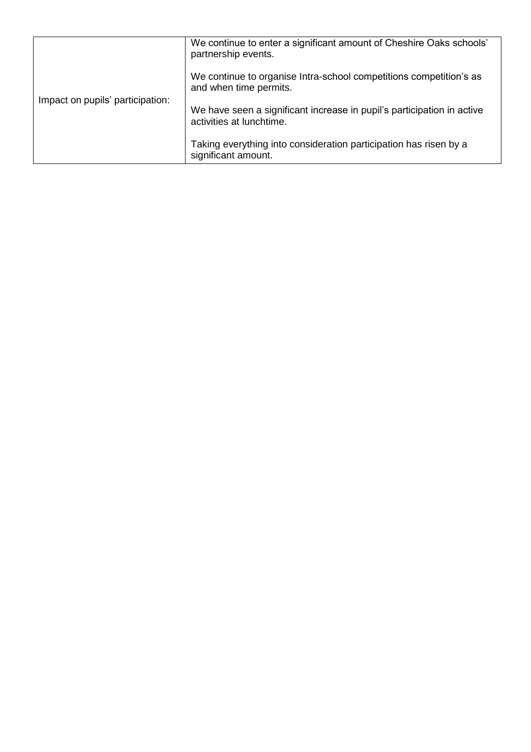| Impact on pupils' participation: | We continue to enter a significant amount of Cheshire Oaks schools'<br>partnership events.         |
|----------------------------------|----------------------------------------------------------------------------------------------------|
|                                  | We continue to organise Intra-school competitions competition's as<br>and when time permits.       |
|                                  | We have seen a significant increase in pupil's participation in active<br>activities at lunchtime. |
|                                  | Taking everything into consideration participation has risen by a<br>significant amount.           |